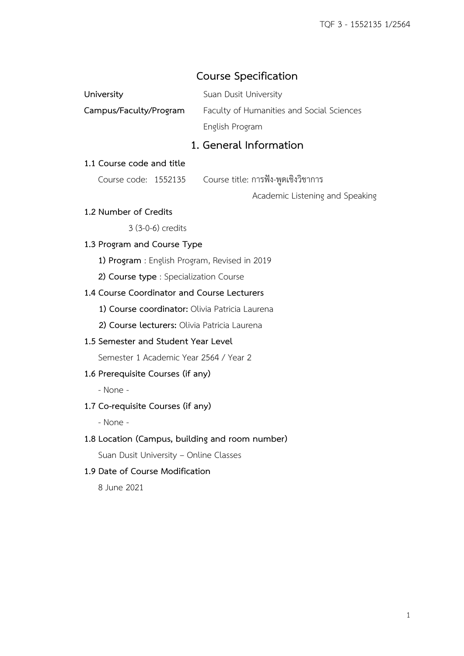## **Course Specification**

| University             | Suan Dusit University                     |
|------------------------|-------------------------------------------|
| Campus/Faculty/Program | Faculty of Humanities and Social Sciences |
|                        | English Program                           |

## **1. General Information**

### **1.1 Course code and title**

Course code: 1552135 Course title: การฟัง-พูดเชิงวิชาการ

Academic Listening and Speaking

### **1.2 Number of Credits**

3 (3-0-6) credits

## **1.3 Program and Course Type**

- **1) Program** : English Program, Revised in 2019
- **2) Course type** : Specialization Course

### **1.4 Course Coordinator and Course Lecturers**

- **1) Course coordinator:** Olivia Patricia Laurena
- **2) Course lecturers:** Olivia Patricia Laurena

### **1.5 Semester and Student Year Level**

Semester 1 Academic Year 2564 / Year 2

#### **1.6 Prerequisite Courses (if any)**

- None -

#### **1.7 Co-requisite Courses (if any)**

- None -

### **1.8 Location (Campus, building and room number)**

Suan Dusit University – Online Classes

### **1.9 Date of Course Modification**

8 June 2021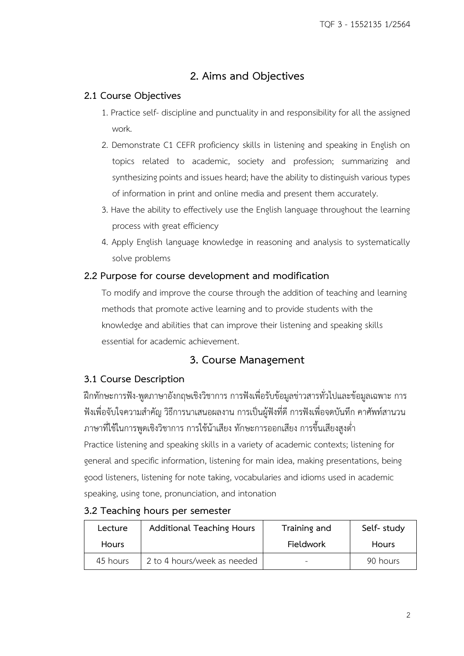# **2. Aims and Objectives**

## **2.1 Course Objectives**

- 1. Practice self- discipline and punctuality in and responsibility for all the assigned work.
- 2. Demonstrate C1 CEFR proficiency skills in listening and speaking in English on topics related to academic, society and profession; summarizing and synthesizing points and issues heard; have the ability to distinguish various types of information in print and online media and present them accurately.
- 3. Have the ability to effectively use the English language throughout the learning process with great efficiency
- 4. Apply English language knowledge in reasoning and analysis to systematically solve problems

## **2.2 Purpose for course development and modification**

To modify and improve the course through the addition of teaching and learning methods that promote active learning and to provide students with the knowledge and abilities that can improve their listening and speaking skills essential for academic achievement.

## **3. Course Management**

## **3.1 Course Description**

ฝึกทักษะการฟัง-พูดภาษาอังกฤษเชิงวิชาการ การฟังเพื่อรับข้อมูลข่าวสารทั่วไปและข้อมูลเฉพาะ การ ฟังเพื่อจับใจความส าคัญ วิธีการนาเสนอผลงาน การเป็นผู้ฟังที่ดี การฟังเพื่อจดบันทึก คาศัพท์สานวน ภาษาที่ใช้ในการพูดเชิงวิชาการ การใช้น้าเสียง ทักษะการออกเสียง การขึ้นเสียงสูงต่ า Practice listening and speaking skills in a variety of academic contexts; listening for general and specific information, listening for main idea, making presentations, being good listeners, listening for note taking, vocabularies and idioms used in academic speaking, using tone, pronunciation, and intonation

| Lecture      | <b>Additional Teaching Hours</b> | Training and     | Self-study   |
|--------------|----------------------------------|------------------|--------------|
| <b>Hours</b> |                                  | <b>Fieldwork</b> | <b>Hours</b> |
| 45 hours     | 2 to 4 hours/week as needed      |                  | 90 hours     |

## **3.2 Teaching hours per semester**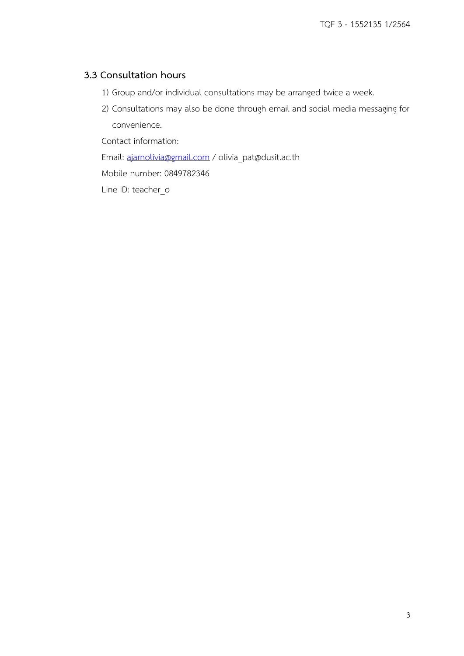## **3.3 Consultation hours**

- 1) Group and/or individual consultations may be arranged twice a week.
- 2) Consultations may also be done through email and social media messaging for convenience.

Contact information:

Email: [ajarnolivia@gmail.com](mailto:ajarnolivia@gmail.com) / olivia\_pat@dusit.ac.th

Mobile number: 0849782346

Line ID: teacher\_o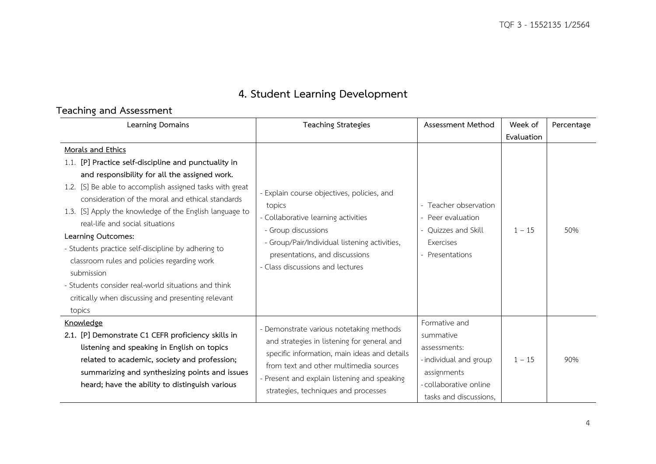# **4. Student Learning Development**

# **Teaching and Assessment**

| Learning Domains                                                                                                                                                                                                                                                                                                                                                                                                                                                                                                                                                                                         | <b>Teaching Strategies</b>                                                                                                                                                                                                                                                | Assessment Method                                                                                                                     | Week of    | Percentage |
|----------------------------------------------------------------------------------------------------------------------------------------------------------------------------------------------------------------------------------------------------------------------------------------------------------------------------------------------------------------------------------------------------------------------------------------------------------------------------------------------------------------------------------------------------------------------------------------------------------|---------------------------------------------------------------------------------------------------------------------------------------------------------------------------------------------------------------------------------------------------------------------------|---------------------------------------------------------------------------------------------------------------------------------------|------------|------------|
|                                                                                                                                                                                                                                                                                                                                                                                                                                                                                                                                                                                                          |                                                                                                                                                                                                                                                                           |                                                                                                                                       | Evaluation |            |
| Morals and Ethics<br>1.1. [P] Practice self-discipline and punctuality in<br>and responsibility for all the assigned work.<br>1.2. [S] Be able to accomplish assigned tasks with great<br>consideration of the moral and ethical standards<br>1.3. [S] Apply the knowledge of the English language to<br>real-life and social situations<br>Learning Outcomes:<br>- Students practice self-discipline by adhering to<br>classroom rules and policies regarding work<br>submission<br>- Students consider real-world situations and think<br>critically when discussing and presenting relevant<br>topics | - Explain course objectives, policies, and<br>topics<br>- Collaborative learning activities<br>- Group discussions<br>- Group/Pair/Individual listening activities,<br>presentations, and discussions<br>- Class discussions and lectures                                 | - Teacher observation<br>- Peer evaluation<br>- Quizzes and Skill<br>Exercises<br>- Presentations                                     | $1 - 15$   | .50%       |
| Knowledge<br>2.1. [P] Demonstrate C1 CEFR proficiency skills in<br>listening and speaking in English on topics<br>related to academic, society and profession;<br>summarizing and synthesizing points and issues<br>heard; have the ability to distinguish various                                                                                                                                                                                                                                                                                                                                       | - Demonstrate various notetaking methods<br>and strategies in listening for general and<br>specific information, main ideas and details<br>from text and other multimedia sources<br>- Present and explain listening and speaking<br>strategies, techniques and processes | Formative and<br>summative<br>assessments:<br>-individual and group<br>assignments<br>-collaborative online<br>tasks and discussions, | $1 - 15$   | 90%        |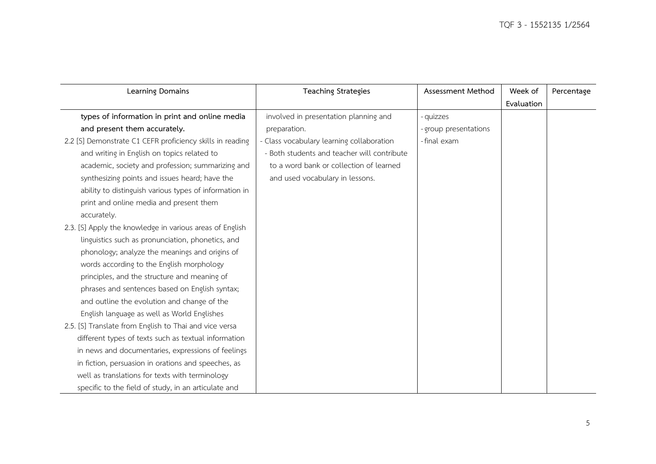| Learning Domains                                          | <b>Teaching Strategies</b>                  | Assessment Method     | Week of    | Percentage |
|-----------------------------------------------------------|---------------------------------------------|-----------------------|------------|------------|
|                                                           |                                             |                       | Evaluation |            |
| types of information in print and online media            | involved in presentation planning and       | - quizzes             |            |            |
| and present them accurately.                              | preparation.                                | - group presentations |            |            |
| 2.2 [S] Demonstrate C1 CEFR proficiency skills in reading | - Class vocabulary learning collaboration   | -final exam           |            |            |
| and writing in English on topics related to               | - Both students and teacher will contribute |                       |            |            |
| academic, society and profession; summarizing and         | to a word bank or collection of learned     |                       |            |            |
| synthesizing points and issues heard; have the            | and used vocabulary in lessons.             |                       |            |            |
| ability to distinguish various types of information in    |                                             |                       |            |            |
| print and online media and present them                   |                                             |                       |            |            |
| accurately.                                               |                                             |                       |            |            |
| 2.3. [S] Apply the knowledge in various areas of English  |                                             |                       |            |            |
| linguistics such as pronunciation, phonetics, and         |                                             |                       |            |            |
| phonology; analyze the meanings and origins of            |                                             |                       |            |            |
| words according to the English morphology                 |                                             |                       |            |            |
| principles, and the structure and meaning of              |                                             |                       |            |            |
| phrases and sentences based on English syntax;            |                                             |                       |            |            |
| and outline the evolution and change of the               |                                             |                       |            |            |
| English language as well as World Englishes               |                                             |                       |            |            |
| 2.5. [S] Translate from English to Thai and vice versa    |                                             |                       |            |            |
| different types of texts such as textual information      |                                             |                       |            |            |
| in news and documentaries, expressions of feelings        |                                             |                       |            |            |
| in fiction, persuasion in orations and speeches, as       |                                             |                       |            |            |
| well as translations for texts with terminology           |                                             |                       |            |            |
| specific to the field of study, in an articulate and      |                                             |                       |            |            |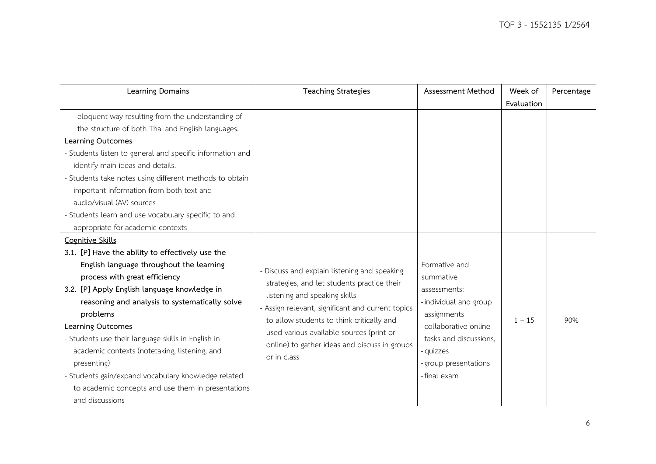| Learning Domains                                          | <b>Teaching Strategies</b>                        | Assessment Method      | Week of    | Percentage |
|-----------------------------------------------------------|---------------------------------------------------|------------------------|------------|------------|
|                                                           |                                                   |                        | Evaluation |            |
| eloquent way resulting from the understanding of          |                                                   |                        |            |            |
| the structure of both Thai and English languages.         |                                                   |                        |            |            |
| Learning Outcomes                                         |                                                   |                        |            |            |
| - Students listen to general and specific information and |                                                   |                        |            |            |
| identify main ideas and details.                          |                                                   |                        |            |            |
| - Students take notes using different methods to obtain   |                                                   |                        |            |            |
| important information from both text and                  |                                                   |                        |            |            |
| audio/visual (AV) sources                                 |                                                   |                        |            |            |
| - Students learn and use vocabulary specific to and       |                                                   |                        |            |            |
| appropriate for academic contexts                         |                                                   |                        |            |            |
| Cognitive Skills                                          |                                                   |                        |            |            |
| 3.1. [P] Have the ability to effectively use the          |                                                   |                        |            |            |
| English language throughout the learning                  | - Discuss and explain listening and speaking      | Formative and          |            |            |
| process with great efficiency                             | strategies, and let students practice their       | summative              |            |            |
| 3.2. [P] Apply English language knowledge in              | listening and speaking skills                     | assessments:           |            |            |
| reasoning and analysis to systematically solve            | - Assign relevant, significant and current topics | - individual and group |            |            |
| problems                                                  | to allow students to think critically and         | assignments            | $1 - 15$   | 90%        |
| Learning Outcomes                                         | used various available sources (print or          | - collaborative online |            |            |
| - Students use their language skills in English in        | online) to gather ideas and discuss in groups     | tasks and discussions, |            |            |
| academic contexts (notetaking, listening, and             | or in class                                       | - quizzes              |            |            |
| presenting)                                               |                                                   | - group presentations  |            |            |
| - Students gain/expand vocabulary knowledge related       |                                                   | -final exam            |            |            |
| to academic concepts and use them in presentations        |                                                   |                        |            |            |
| and discussions                                           |                                                   |                        |            |            |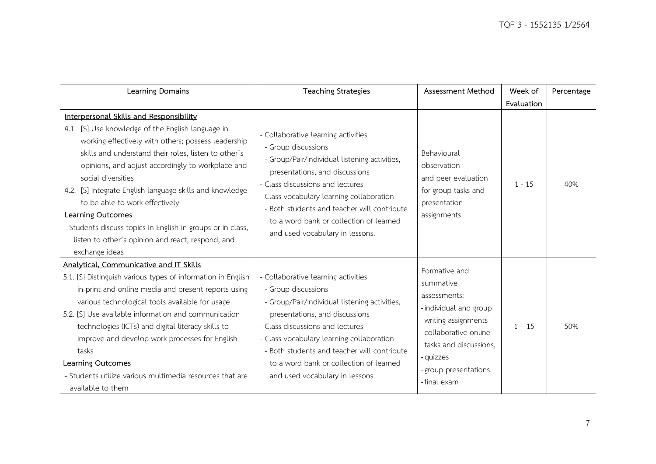| Learning Domains                                                                                                                                                                                                                                                                                                                                                                                                                                                                                                                                | <b>Teaching Strategies</b>                                                                                                                                                                                                                                                                                                                                  | Assessment Method                                                                                                                                                                                  | Week of    | Percentage |
|-------------------------------------------------------------------------------------------------------------------------------------------------------------------------------------------------------------------------------------------------------------------------------------------------------------------------------------------------------------------------------------------------------------------------------------------------------------------------------------------------------------------------------------------------|-------------------------------------------------------------------------------------------------------------------------------------------------------------------------------------------------------------------------------------------------------------------------------------------------------------------------------------------------------------|----------------------------------------------------------------------------------------------------------------------------------------------------------------------------------------------------|------------|------------|
|                                                                                                                                                                                                                                                                                                                                                                                                                                                                                                                                                 |                                                                                                                                                                                                                                                                                                                                                             |                                                                                                                                                                                                    | Evaluation |            |
| Interpersonal Skills and Responsibility<br>4.1. [S] Use knowledge of the English language in<br>working effectively with others; possess leadership<br>skills and understand their roles, listen to other's<br>opinions, and adjust accordingly to workplace and<br>social diversities<br>4.2. [S] Integrate English language skills and knowledge<br>to be able to work effectively<br>Learning Outcomes<br>- Students discuss topics in English in groups or in class,<br>listen to other's opinion and react, respond, and<br>exchange ideas | - Collaborative learning activities<br>- Group discussions<br>- Group/Pair/Individual listening activities,<br>presentations, and discussions<br>- Class discussions and lectures<br>- Class vocabulary learning collaboration<br>- Both students and teacher will contribute<br>to a word bank or collection of learned<br>and used vocabulary in lessons. | Behavioural<br>observation<br>and peer evaluation<br>for group tasks and<br>presentation<br>assignments                                                                                            | $1 - 15$   | 40%        |
| Analytical, Communicative and IT Skills<br>5.1. [S] Distinguish various types of information in English<br>in print and online media and present reports using<br>various technological tools available for usage<br>5.2. [S] Use available information and communication<br>technologies (ICTs) and digital literacy skills to<br>improve and develop work processes for English<br>tasks<br>Learning Outcomes<br>- Students utilize various multimedia resources that are<br>available to them                                                | - Collaborative learning activities<br>- Group discussions<br>- Group/Pair/Individual listening activities,<br>presentations, and discussions<br>- Class discussions and lectures<br>- Class vocabulary learning collaboration<br>- Both students and teacher will contribute<br>to a word bank or collection of learned<br>and used vocabulary in lessons. | Formative and<br>summative<br>assessments:<br>-individual and group<br>writing assignments<br>-collaborative online<br>tasks and discussions,<br>- quizzes<br>- group presentations<br>-final exam | $1 - 15$   | 50%        |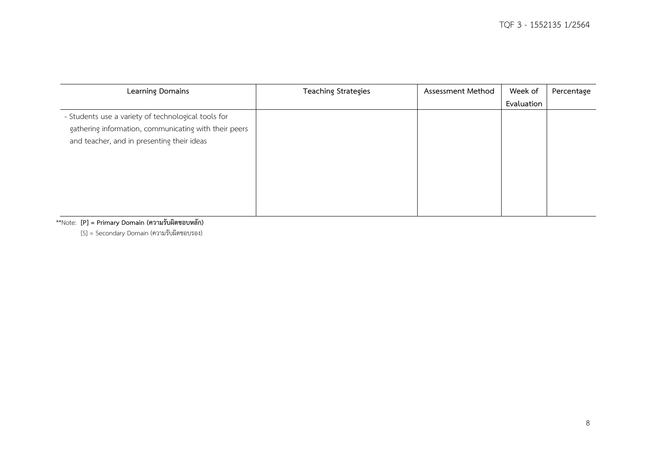| Learning Domains                                                                                                                                           | <b>Teaching Strategies</b> | Assessment Method | Week of    | Percentage |
|------------------------------------------------------------------------------------------------------------------------------------------------------------|----------------------------|-------------------|------------|------------|
|                                                                                                                                                            |                            |                   | Evaluation |            |
| - Students use a variety of technological tools for<br>gathering information, communicating with their peers<br>and teacher, and in presenting their ideas |                            |                   |            |            |

\*\*Note: **[P] = Primary Domain (ความรับผิดชอบหลัก)**

[S] = Secondary Domain (ความรับผิดชอบรอง)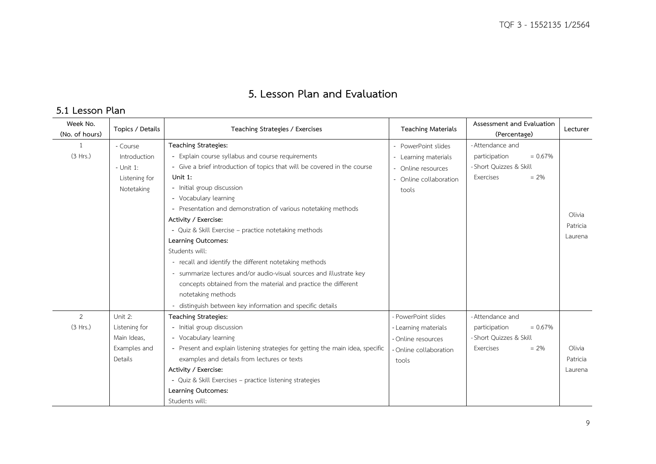# **5. Lesson Plan and Evaluation**

## **5.1 Lesson Plan**

| Week No.<br>(No. of hours) | Topics / Details | Teaching Strategies / Exercises                                                | <b>Teaching Materials</b> | Assessment and Evaluation<br>(Percentage) | Lecturer |
|----------------------------|------------------|--------------------------------------------------------------------------------|---------------------------|-------------------------------------------|----------|
| 1                          | - Course         | Teaching Strategies:                                                           | - PowerPoint slides       | - Attendance and                          |          |
| (3 Hrs.)                   | Introduction     | - Explain course syllabus and course requirements                              | - Learning materials      | $= 0.67\%$<br>participation               |          |
|                            | $-$ Unit 1:      | - Give a brief introduction of topics that will be covered in the course       | - Online resources        | - Short Ouizzes & Skill                   |          |
|                            | Listening for    | Unit 1:                                                                        | - Online collaboration    | Exercises<br>$= 2\%$                      |          |
|                            | Notetaking       | - Initial group discussion                                                     | tools                     |                                           |          |
|                            |                  | - Vocabulary learning                                                          |                           |                                           |          |
|                            |                  | - Presentation and demonstration of various notetaking methods                 |                           |                                           |          |
|                            |                  | Activity / Exercise:                                                           |                           |                                           | Olivia   |
|                            |                  | - Quiz & Skill Exercise - practice notetaking methods                          |                           |                                           | Patricia |
|                            |                  | Learning Outcomes:                                                             |                           |                                           | Laurena  |
|                            |                  | Students will:                                                                 |                           |                                           |          |
|                            |                  | - recall and identify the different notetaking methods                         |                           |                                           |          |
|                            |                  | - summarize lectures and/or audio-visual sources and illustrate key            |                           |                                           |          |
|                            |                  | concepts obtained from the material and practice the different                 |                           |                                           |          |
|                            |                  | notetaking methods                                                             |                           |                                           |          |
|                            |                  | - distinguish between key information and specific details                     |                           |                                           |          |
| 2                          | Unit 2:          | Teaching Strategies:                                                           | - PowerPoint slides       | - Attendance and                          |          |
| (3 Hrs.)                   | Listening for    | - Initial group discussion                                                     | - Learning materials      | $= 0.67\%$<br>participation               |          |
|                            | Main Ideas,      | - Vocabulary learning                                                          | - Online resources        | - Short Quizzes & Skill                   |          |
|                            | Examples and     | - Present and explain listening strategies for getting the main idea, specific | - Online collaboration    | $= 2\%$<br>Exercises                      | Olivia   |
|                            | Details          | examples and details from lectures or texts                                    | tools                     |                                           | Patricia |
|                            |                  | Activity / Exercise:                                                           |                           |                                           | Laurena  |
|                            |                  | - Quiz & Skill Exercises - practice listening strategies                       |                           |                                           |          |
|                            |                  | Learning Outcomes:                                                             |                           |                                           |          |
|                            |                  | Students will:                                                                 |                           |                                           |          |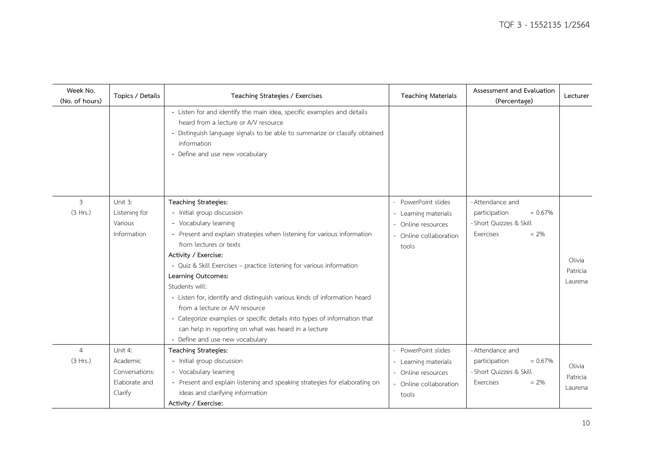| Week No.<br>(No. of hours) | Topics / Details                                                  | Teaching Strategies / Exercises                                                                                                                                                                                                                                                                                                                                                                                                                                                                                                                                                                                 | <b>Teaching Materials</b>                                                                          | Assessment and Evaluation<br>(Percentage)                                                          | Lecturer                      |
|----------------------------|-------------------------------------------------------------------|-----------------------------------------------------------------------------------------------------------------------------------------------------------------------------------------------------------------------------------------------------------------------------------------------------------------------------------------------------------------------------------------------------------------------------------------------------------------------------------------------------------------------------------------------------------------------------------------------------------------|----------------------------------------------------------------------------------------------------|----------------------------------------------------------------------------------------------------|-------------------------------|
|                            |                                                                   | - Listen for and identify the main idea, specific examples and details<br>heard from a lecture or A/V resource<br>- Distinguish language signals to be able to summarize or classify obtained<br>information<br>- Define and use new vocabulary                                                                                                                                                                                                                                                                                                                                                                 |                                                                                                    |                                                                                                    |                               |
| $\mathfrak{Z}$<br>(3 Hrs.) | Unit 3:<br>Listening for<br>Various<br>Information                | Teaching Strategies:<br>- Initial group discussion<br>- Vocabulary learning<br>- Present and explain strategies when listening for various information<br>from lectures or texts<br>Activity / Exercise:<br>- Quiz & Skill Exercises - practice listening for various information<br>Learning Outcomes:<br>Students will:<br>- Listen for, identify and distinguish various kinds of information heard<br>from a lecture or A/V resource<br>- Categorize examples or specific details into types of information that<br>can help in reporting on what was heard in a lecture<br>- Define and use new vocabulary | PowerPoint slides<br>- Learning materials<br>Online resources<br>- Online collaboration<br>tools   | - Attendance and<br>$= 0.67%$<br>participation<br>- Short Quizzes & Skill<br>Exercises<br>$= 2\%$  | Olivia<br>Patricia<br>Laurena |
| 4<br>(3 Hrs.)              | Unit 4:<br>Academic<br>Conversations:<br>Elaborate and<br>Clarify | Teaching Strategies:<br>- Initial group discussion<br>- Vocabulary learning<br>- Present and explain listening and speaking strategies for elaborating on<br>ideas and clarifying information<br>Activity / Exercise:                                                                                                                                                                                                                                                                                                                                                                                           | PowerPoint slides<br>- Learning materials<br>- Online resources<br>- Online collaboration<br>tools | - Attendance and<br>$= 0.67\%$<br>participation<br>- Short Quizzes & Skill<br>Exercises<br>$= 2\%$ | Olivia<br>Patricia<br>Laurena |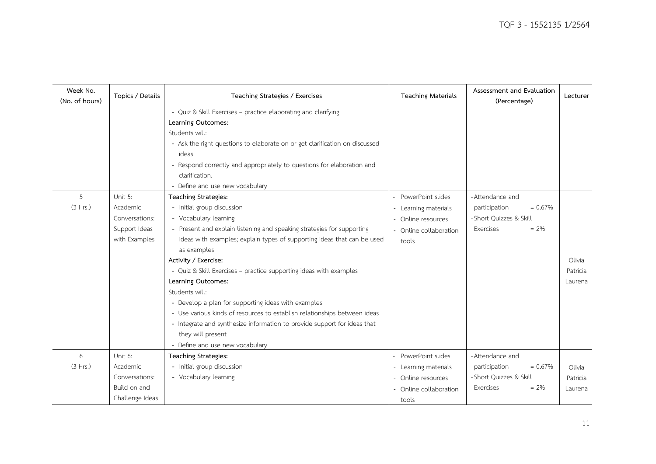| Week No.<br>(No. of hours) | Topics / Details                                                         | Teaching Strategies / Exercises                                                                                                                                                                                                                                                                                                                                                                                                                                                                                                                                                                         | <b>Teaching Materials</b>                                                                          | Assessment and Evaluation<br>(Percentage)                                                         | Lecturer                      |
|----------------------------|--------------------------------------------------------------------------|---------------------------------------------------------------------------------------------------------------------------------------------------------------------------------------------------------------------------------------------------------------------------------------------------------------------------------------------------------------------------------------------------------------------------------------------------------------------------------------------------------------------------------------------------------------------------------------------------------|----------------------------------------------------------------------------------------------------|---------------------------------------------------------------------------------------------------|-------------------------------|
| 5<br>(3 Hrs.)              | Unit 5:<br>Academic                                                      | - Quiz & Skill Exercises - practice elaborating and clarifying<br>Learning Outcomes:<br>Students will:<br>- Ask the right questions to elaborate on or get clarification on discussed<br>ideas<br>- Respond correctly and appropriately to questions for elaboration and<br>clarification.<br>- Define and use new vocabulary<br>Teaching Strategies:<br>- Initial group discussion                                                                                                                                                                                                                     | PowerPoint slides                                                                                  | - Attendance and<br>$= 0.67%$                                                                     |                               |
|                            | Conversations:<br>Support Ideas<br>with Examples                         | - Vocabulary learning<br>- Present and explain listening and speaking strategies for supporting<br>ideas with examples; explain types of supporting ideas that can be used<br>as examples<br>Activity / Exercise:<br>- Quiz & Skill Exercises - practice supporting ideas with examples<br>Learning Outcomes:<br>Students will:<br>- Develop a plan for supporting ideas with examples<br>- Use various kinds of resources to establish relationships between ideas<br>- Integrate and synthesize information to provide support for ideas that<br>they will present<br>- Define and use new vocabulary | - Learning materials<br>Online resources<br>- Online collaboration<br>tools                        | participation<br>- Short Quizzes & Skill<br>Exercises<br>$= 2\%$                                  | Olivia<br>Patricia<br>Laurena |
| 6<br>(3 Hrs.)              | Unit 6:<br>Academic<br>Conversations:<br>Build on and<br>Challenge Ideas | Teaching Strategies:<br>- Initial group discussion<br>- Vocabulary learning                                                                                                                                                                                                                                                                                                                                                                                                                                                                                                                             | PowerPoint slides<br>- Learning materials<br>- Online resources<br>- Online collaboration<br>tools | - Attendance and<br>$= 0.67%$<br>participation<br>- Short Quizzes & Skill<br>$= 2\%$<br>Exercises | Olivia<br>Patricia<br>Laurena |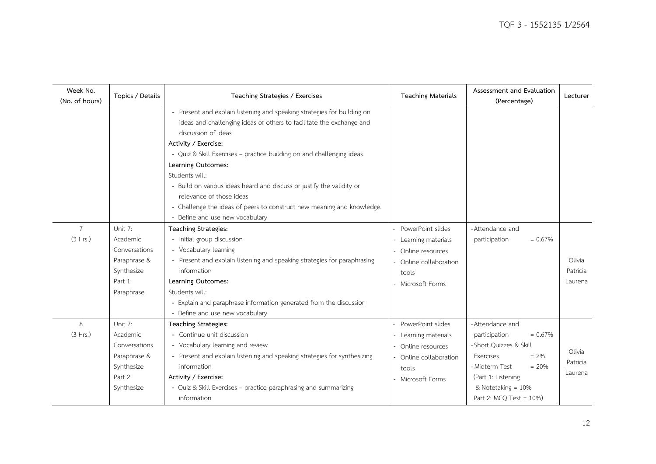| Week No.<br>(No. of hours) | Topics / Details                                                                            | Teaching Strategies / Exercises                                                                                                                                                                                                                                                                                                                                                                                                                                                                                                   | <b>Teaching Materials</b>                                                                                               | Assessment and Evaluation<br>(Percentage)                                                                                                                                                                | Lecturer                      |
|----------------------------|---------------------------------------------------------------------------------------------|-----------------------------------------------------------------------------------------------------------------------------------------------------------------------------------------------------------------------------------------------------------------------------------------------------------------------------------------------------------------------------------------------------------------------------------------------------------------------------------------------------------------------------------|-------------------------------------------------------------------------------------------------------------------------|----------------------------------------------------------------------------------------------------------------------------------------------------------------------------------------------------------|-------------------------------|
|                            |                                                                                             | - Present and explain listening and speaking strategies for building on<br>ideas and challenging ideas of others to facilitate the exchange and<br>discussion of ideas<br>Activity / Exercise:<br>- Quiz & Skill Exercises - practice building on and challenging ideas<br>Learning Outcomes:<br>Students will:<br>- Build on various ideas heard and discuss or justify the validity or<br>relevance of those ideas<br>- Challenge the ideas of peers to construct new meaning and knowledge.<br>- Define and use new vocabulary |                                                                                                                         |                                                                                                                                                                                                          |                               |
| $\overline{7}$<br>(3 Hrs.) | Unit 7:<br>Academic<br>Conversations<br>Paraphrase &<br>Synthesize<br>Part 1:<br>Paraphrase | Teaching Strategies:<br>- Initial group discussion<br>- Vocabulary learning<br>- Present and explain listening and speaking strategies for paraphrasing<br>information<br>Learning Outcomes:<br>Students will:<br>- Explain and paraphrase information generated from the discussion<br>- Define and use new vocabulary                                                                                                                                                                                                           | PowerPoint slides<br>- Learning materials<br>- Online resources<br>- Online collaboration<br>tools<br>- Microsoft Forms | - Attendance and<br>$= 0.67%$<br>participation                                                                                                                                                           | Olivia<br>Patricia<br>Laurena |
| 8<br>(3 Hrs.)              | Unit 7:<br>Academic<br>Conversations<br>Paraphrase &<br>Synthesize<br>Part 2:<br>Synthesize | <b>Teaching Strategies:</b><br>- Continue unit discussion<br>- Vocabulary learning and review<br>- Present and explain listening and speaking strategies for synthesizing<br>information<br>Activity / Exercise:<br>- Quiz & Skill Exercises - practice paraphrasing and summarizing<br>information                                                                                                                                                                                                                               | PowerPoint slides<br>- Learning materials<br>- Online resources<br>- Online collaboration<br>tools<br>- Microsoft Forms | - Attendance and<br>$= 0.67\%$<br>participation<br>- Short Quizzes & Skill<br>Exercises<br>$= 2\%$<br>$= 20%$<br>- Midterm Test<br>(Part 1: Listening<br>& Notetaking = 10%<br>Part 2: $MCO$ Test = 10%) | Olivia<br>Patricia<br>Laurena |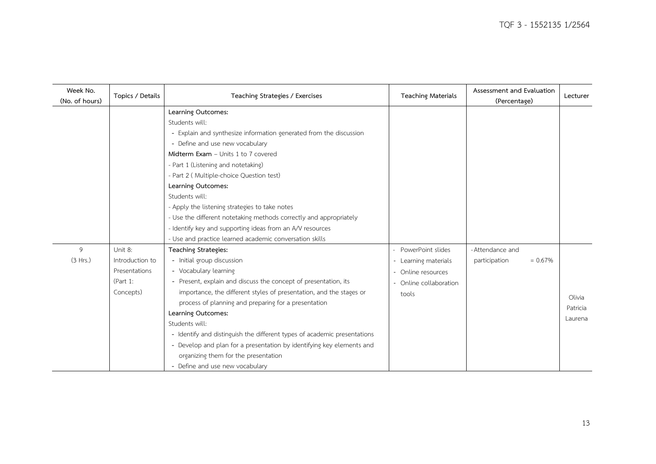| Week No.<br>(No. of hours) | Topics / Details                                                     | Teaching Strategies / Exercises                                                                                                                                                                                                                                                                                                                                                                                                                                                                                                                                 | <b>Teaching Materials</b>                                                                      | Assessment and Evaluation<br>(Percentage)      | Lecturer                      |
|----------------------------|----------------------------------------------------------------------|-----------------------------------------------------------------------------------------------------------------------------------------------------------------------------------------------------------------------------------------------------------------------------------------------------------------------------------------------------------------------------------------------------------------------------------------------------------------------------------------------------------------------------------------------------------------|------------------------------------------------------------------------------------------------|------------------------------------------------|-------------------------------|
|                            |                                                                      | Learning Outcomes:<br>Students will:<br>- Explain and synthesize information generated from the discussion<br>- Define and use new vocabulary<br>Midterm Exam - Units 1 to 7 covered<br>- Part 1 (Listening and notetaking)<br>- Part 2 (Multiple-choice Question test)<br>Learning Outcomes:<br>Students will:<br>- Apply the listening strategies to take notes<br>- Use the different notetaking methods correctly and appropriately<br>- Identify key and supporting ideas from an A/V resources<br>- Use and practice learned academic conversation skills |                                                                                                |                                                |                               |
| 9<br>(3 Hrs.)              | Unit 8:<br>Introduction to<br>Presentations<br>(Part 1:<br>Concepts) | Teaching Strategies:<br>- Initial group discussion<br>- Vocabulary learning<br>- Present, explain and discuss the concept of presentation, its<br>importance, the different styles of presentation, and the stages or<br>process of planning and preparing for a presentation<br>Learning Outcomes:<br>Students will:<br>- Identify and distinguish the different types of academic presentations<br>- Develop and plan for a presentation by identifying key elements and<br>organizing them for the presentation<br>- Define and use new vocabulary           | PowerPoint slides<br>- Learning materials<br>Online resources<br>Online collaboration<br>tools | - Attendance and<br>$= 0.67%$<br>participation | Olivia<br>Patricia<br>Laurena |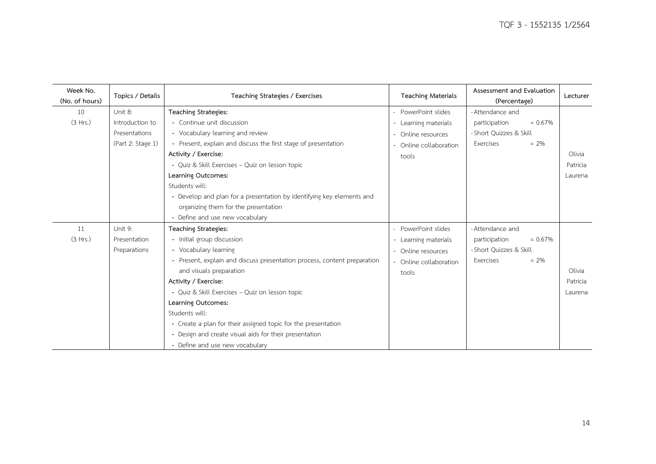| Week No.<br>(No. of hours) | Topics / Details  | Teaching Strategies / Exercises                                          | <b>Teaching Materials</b> | Assessment and Evaluation<br>(Percentage) | Lecturer |
|----------------------------|-------------------|--------------------------------------------------------------------------|---------------------------|-------------------------------------------|----------|
| 10                         | Unit 8:           | <b>Teaching Strategies:</b>                                              | - PowerPoint slides       | - Attendance and                          |          |
| (3 Hrs.)                   | Introduction to   | - Continue unit discussion                                               | - Learning materials      | $= 0.67%$<br>participation                |          |
|                            | Presentations     | - Vocabulary learning and review                                         | - Online resources        | - Short Quizzes & Skill                   |          |
|                            | (Part 2: Stage 1) | - Present, explain and discuss the first stage of presentation           | - Online collaboration    | Exercises<br>$= 2\%$                      |          |
|                            |                   | Activity / Exercise:                                                     | tools                     |                                           | Olivia   |
|                            |                   | - Quiz & Skill Exercises - Quiz on lesson topic                          |                           |                                           | Patricia |
|                            |                   | Learning Outcomes:                                                       |                           |                                           | Laurena  |
|                            |                   | Students will:                                                           |                           |                                           |          |
|                            |                   | - Develop and plan for a presentation by identifying key elements and    |                           |                                           |          |
|                            |                   | organizing them for the presentation                                     |                           |                                           |          |
|                            |                   | - Define and use new vocabulary                                          |                           |                                           |          |
| 11                         | Unit 9:           | <b>Teaching Strategies:</b>                                              | - PowerPoint slides       | - Attendance and                          |          |
| (3 Hrs.)                   | Presentation      | - Initial group discussion                                               | - Learning materials      | $= 0.67%$<br>participation                |          |
|                            | Preparations      | - Vocabulary learning                                                    | - Online resources        | - Short Quizzes & Skill                   |          |
|                            |                   | - Present, explain and discuss presentation process, content preparation | - Online collaboration    | $= 2\%$<br>Exercises                      |          |
|                            |                   | and visuals preparation                                                  | tools                     |                                           | Olivia   |
|                            |                   | Activity / Exercise:                                                     |                           |                                           | Patricia |
|                            |                   | - Quiz & Skill Exercises - Quiz on lesson topic                          |                           |                                           | Laurena  |
|                            |                   | Learning Outcomes:                                                       |                           |                                           |          |
|                            |                   | Students will:                                                           |                           |                                           |          |
|                            |                   | - Create a plan for their assigned topic for the presentation            |                           |                                           |          |
|                            |                   | - Design and create visual aids for their presentation                   |                           |                                           |          |
|                            |                   | - Define and use new vocabulary                                          |                           |                                           |          |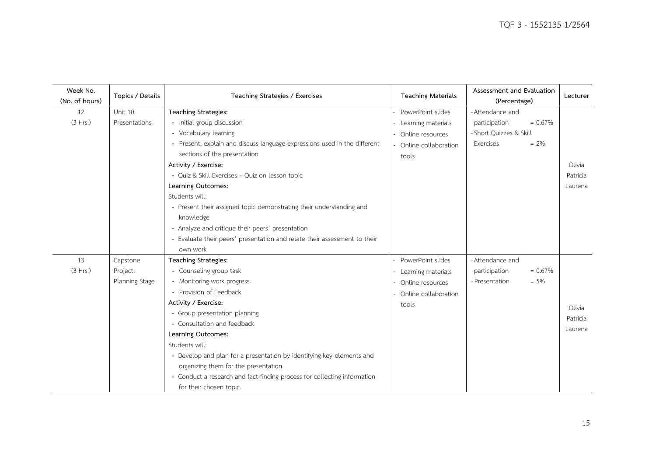| Week No.<br>(No. of hours) | Topics / Details                       | Teaching Strategies / Exercises                                                                                                                                                                                                                                                                                                                                                                                                                                                                                       | <b>Teaching Materials</b>                                                                          | Assessment and Evaluation<br>(Percentage)                                     | Lecturer                      |
|----------------------------|----------------------------------------|-----------------------------------------------------------------------------------------------------------------------------------------------------------------------------------------------------------------------------------------------------------------------------------------------------------------------------------------------------------------------------------------------------------------------------------------------------------------------------------------------------------------------|----------------------------------------------------------------------------------------------------|-------------------------------------------------------------------------------|-------------------------------|
| 12                         | Unit 10:                               | Teaching Strategies:                                                                                                                                                                                                                                                                                                                                                                                                                                                                                                  | - PowerPoint slides                                                                                | - Attendance and                                                              |                               |
| (3 Hrs.)                   | Presentations                          | - Initial group discussion<br>- Vocabulary learning<br>- Present, explain and discuss language expressions used in the different<br>sections of the presentation<br>Activity / Exercise:<br>- Quiz & Skill Exercises - Quiz on lesson topic<br>Learning Outcomes:<br>Students will:<br>- Present their assigned topic demonstrating their understanding and<br>knowledge<br>- Analyze and critique their peers' presentation<br>- Evaluate their peers' presentation and relate their assessment to their<br>own work | - Learning materials<br>- Online resources<br>- Online collaboration<br>tools                      | $= 0.67%$<br>participation<br>- Short Ouizzes & Skill<br>$= 2\%$<br>Exercises | Olivia<br>Patricia<br>Laurena |
| 13<br>(3 Hrs.)             | Capstone<br>Project:<br>Planning Stage | Teaching Strategies:<br>- Counseling group task<br>- Monitoring work progress<br>- Provision of Feedback<br>Activity / Exercise:<br>- Group presentation planning<br>- Consultation and feedback<br>Learning Outcomes:<br>Students will:<br>- Develop and plan for a presentation by identifying key elements and<br>organizing them for the presentation<br>- Conduct a research and fact-finding process for collecting information<br>for their chosen topic.                                                      | PowerPoint slides<br>- Learning materials<br>- Online resources<br>- Online collaboration<br>tools | - Attendance and<br>participation<br>$= 0.67\%$<br>$= 5\%$<br>- Presentation  | Olivia<br>Patricia<br>Laurena |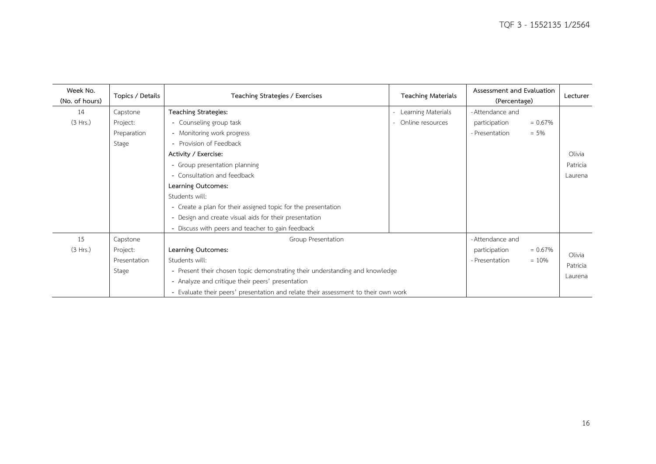| Week No.<br>(No. of hours) | Topics / Details | Teaching Strategies / Exercises<br><b>Teaching Materials</b>                       |                            | Assessment and Evaluation<br>(Percentage) |            | Lecturer |
|----------------------------|------------------|------------------------------------------------------------------------------------|----------------------------|-------------------------------------------|------------|----------|
| 14                         | Capstone         | Teaching Strategies:                                                               | Learning Materials         | - Attendance and                          |            |          |
| (3 Hrs.)                   | Project:         | - Counseling group task                                                            | Online resources<br>$\sim$ | participation                             | $= 0.67\%$ |          |
|                            | Preparation      | - Monitoring work progress                                                         |                            | - Presentation                            | $= 5\%$    |          |
|                            | Stage            | - Provision of Feedback                                                            |                            |                                           |            |          |
|                            |                  | Activity / Exercise:                                                               |                            |                                           |            | Olivia   |
|                            |                  | - Group presentation planning                                                      |                            |                                           |            | Patricia |
|                            |                  | - Consultation and feedback                                                        |                            |                                           |            | Laurena  |
|                            |                  | Learning Outcomes:                                                                 |                            |                                           |            |          |
|                            |                  | Students will:                                                                     |                            |                                           |            |          |
|                            |                  | - Create a plan for their assigned topic for the presentation                      |                            |                                           |            |          |
|                            |                  | - Design and create visual aids for their presentation                             |                            |                                           |            |          |
|                            |                  | - Discuss with peers and teacher to gain feedback                                  |                            |                                           |            |          |
| 15                         | Capstone         | Group Presentation                                                                 |                            | - Attendance and                          |            |          |
| (3 Hrs.)                   | Project:         | Learning Outcomes:                                                                 |                            | participation                             | $= 0.67\%$ | Olivia   |
|                            | Presentation     | Students will:                                                                     |                            | - Presentation                            | $= 10%$    |          |
|                            | Stage            | - Present their chosen topic demonstrating their understanding and knowledge       |                            |                                           |            | Patricia |
|                            |                  | - Analyze and critique their peers' presentation                                   |                            |                                           |            | Laurena  |
|                            |                  | - Evaluate their peers' presentation and relate their assessment to their own work |                            |                                           |            |          |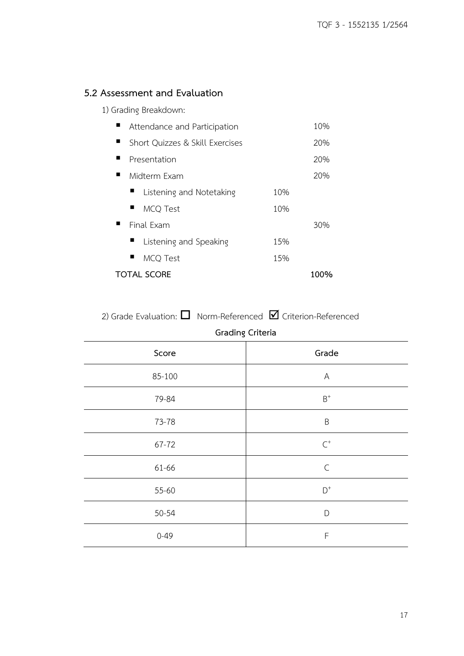## **5.2 Assessment and Evaluation**

1) Grading Breakdown:

| Attendance and Participation    |     | 10%  |
|---------------------------------|-----|------|
| Short Quizzes & Skill Exercises |     | 20%  |
| Presentation                    |     | 20%  |
| Midterm Exam                    |     | 20%  |
| Listening and Notetaking        | 10% |      |
| <b>MCQ Test</b>                 | 10% |      |
| Final Fxam                      |     | 30%  |
| Listening and Speaking          | 15% |      |
| MCO Test                        | 15% |      |
| <b>TOTAL SCORE</b>              |     | 100% |

2) Grade Evaluation:  $\square$  Norm-Referenced  $\square$  Criterion-Referenced

| <b>Grading Criteria</b> |                |  |  |  |
|-------------------------|----------------|--|--|--|
| Score                   | Grade          |  |  |  |
| 85-100                  | A              |  |  |  |
| 79-84                   | $\mathsf{B}^+$ |  |  |  |
| 73-78                   | $\sf B$        |  |  |  |
| 67-72                   | $\textsf{C}^+$ |  |  |  |
| 61-66                   | $\mathsf C$    |  |  |  |
| 55-60                   | $\mathsf{D}^+$ |  |  |  |
| 50-54                   | D              |  |  |  |
| $0 - 49$                | $\mathsf F$    |  |  |  |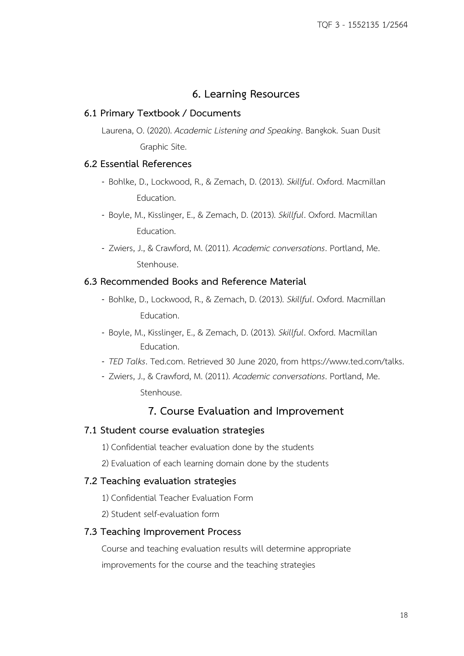## **6. Learning Resources**

## **6.1 Primary Textbook / Documents**

Laurena, O. (2020). *Academic Listening and Speaking*. Bangkok. Suan Dusit Graphic Site.

### **6.2 Essential References**

- Bohlke, D., Lockwood, R., & Zemach, D. (2013). *Skillful*. Oxford. Macmillan Education.
- Boyle, M., Kisslinger, E., & Zemach, D. (2013). *Skillful*. Oxford. Macmillan Education.
- Zwiers, J., & Crawford, M. (2011). *Academic conversations*. Portland, Me. Stenhouse.

## **6.3 Recommended Books and Reference Material**

- Bohlke, D., Lockwood, R., & Zemach, D. (2013). *Skillful*. Oxford. Macmillan Education.
- Boyle, M., Kisslinger, E., & Zemach, D. (2013). *Skillful*. Oxford. Macmillan Education.
- *TED Talks*. Ted.com. Retrieved 30 June 2020, from https://www.ted.com/talks.
- Zwiers, J., & Crawford, M. (2011). *Academic conversations*. Portland, Me. Stenhouse.

## **7. Course Evaluation and Improvement**

### **7.1 Student course evaluation strategies**

- 1) Confidential teacher evaluation done by the students
- 2) Evaluation of each learning domain done by the students

### **7.2 Teaching evaluation strategies**

- 1) Confidential Teacher Evaluation Form
- 2) Student self-evaluation form

#### **7.3 Teaching Improvement Process**

Course and teaching evaluation results will determine appropriate improvements for the course and the teaching strategies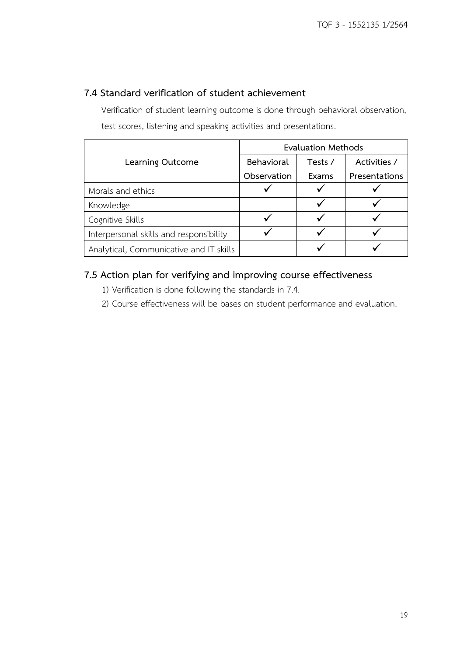## **7.4 Standard verification of student achievement**

Verification of student learning outcome is done through behavioral observation, test scores, listening and speaking activities and presentations.

|                                         | <b>Evaluation Methods</b> |         |               |  |
|-----------------------------------------|---------------------------|---------|---------------|--|
| Learning Outcome                        | Behavioral                | Tests / | Activities /  |  |
|                                         | Observation               | Exams   | Presentations |  |
| Morals and ethics                       |                           |         |               |  |
| Knowledge                               |                           |         |               |  |
| Cognitive Skills                        |                           |         |               |  |
| Interpersonal skills and responsibility |                           |         |               |  |
| Analytical, Communicative and IT skills |                           |         |               |  |

## **7.5 Action plan for verifying and improving course effectiveness**

- 1) Verification is done following the standards in 7.4.
- 2) Course effectiveness will be bases on student performance and evaluation.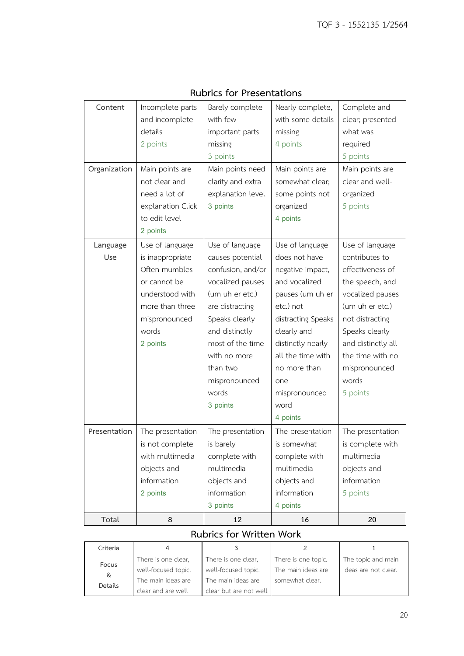| Content      | Incomplete parts  | Barely complete   | Nearly complete,   | Complete and       |
|--------------|-------------------|-------------------|--------------------|--------------------|
|              | and incomplete    | with few          | with some details  | clear; presented   |
|              | details           | important parts   | missing            | what was           |
|              | 2 points          | missing           | 4 points           | required           |
|              |                   | 3 points          |                    | 5 points           |
| Organization | Main points are   | Main points need  | Main points are    | Main points are    |
|              | not clear and     | clarity and extra | somewhat clear;    | clear and well-    |
|              | need a lot of     | explanation level | some points not    | organized          |
|              | explanation Click | 3 points          | organized          | 5 points           |
|              | to edit level     |                   | 4 points           |                    |
|              | 2 points          |                   |                    |                    |
| Language     | Use of language   | Use of language   | Use of language    | Use of language    |
| Use          | is inappropriate  | causes potential  | does not have      | contributes to     |
|              | Often mumbles     | confusion, and/or | negative impact,   | effectiveness of   |
|              | or cannot be      | vocalized pauses  | and vocalized      | the speech, and    |
|              | understood with   | (um uh er etc.)   | pauses (um uh er   | vocalized pauses   |
|              | more than three   | are distracting   | etc.) not          | (um uh er etc.)    |
|              | mispronounced     | Speaks clearly    | distracting Speaks | not distracting    |
|              | words             | and distinctly    | clearly and        | Speaks clearly     |
|              | 2 points          | most of the time  | distinctly nearly  | and distinctly all |
|              |                   | with no more      | all the time with  | the time with no   |
|              |                   | than two          | no more than       | mispronounced      |
|              |                   | mispronounced     | one                | words              |
|              |                   | words             | mispronounced      | 5 points           |
|              |                   | 3 points          | word               |                    |
|              |                   |                   | 4 points           |                    |
| Presentation | The presentation  | The presentation  | The presentation   | The presentation   |
|              | is not complete   | is barely         | is somewhat        | is complete with   |
|              | with multimedia   | complete with     | complete with      | multimedia         |
|              | objects and       | multimedia        | multimedia         | objects and        |
|              | information       | objects and       | objects and        | information        |
|              | 2 points          | information       | information        | 5 points           |
|              |                   | 3 points          | 4 points           |                    |
| Total        | 8                 | 12                | 16                 | 20                 |

## **Rubrics for Presentations**

## **Rubrics for Written Work**

| Criteria |                     |                        |                     |                      |
|----------|---------------------|------------------------|---------------------|----------------------|
| Focus    | There is one clear, | There is one clear,    | There is one topic. | The topic and main   |
| &        | well-focused topic. | well-focused topic.    | The main ideas are  | ideas are not clear. |
|          | The main ideas are  | The main ideas are     | somewhat clear.     |                      |
| Details  | clear and are well  | clear but are not well |                     |                      |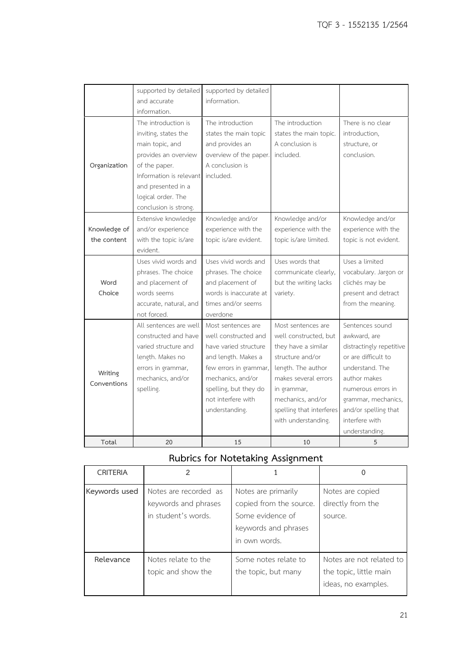|                             | supported by detailed<br>and accurate                                                                                                                                                          | supported by detailed<br>information.                                                                                                                                                                      |                                                                                                                                                                                                                             |                                                                                                                                                                                                                                |
|-----------------------------|------------------------------------------------------------------------------------------------------------------------------------------------------------------------------------------------|------------------------------------------------------------------------------------------------------------------------------------------------------------------------------------------------------------|-----------------------------------------------------------------------------------------------------------------------------------------------------------------------------------------------------------------------------|--------------------------------------------------------------------------------------------------------------------------------------------------------------------------------------------------------------------------------|
| Organization                | information.<br>The introduction is<br>inviting, states the<br>main topic, and<br>provides an overview<br>of the paper.<br>Information is relevant<br>and presented in a<br>logical order. The | The introduction<br>states the main topic<br>and provides an<br>overview of the paper.<br>A conclusion is<br>included.                                                                                     | The introduction<br>states the main topic.<br>A conclusion is<br>included.                                                                                                                                                  | There is no clear<br>introduction,<br>structure, or<br>conclusion.                                                                                                                                                             |
| Knowledge of<br>the content | conclusion is strong.<br>Extensive knowledge<br>and/or experience<br>with the topic is/are<br>evident.                                                                                         | Knowledge and/or<br>experience with the<br>topic is/are evident.                                                                                                                                           | Knowledge and/or<br>experience with the<br>topic is/are limited.                                                                                                                                                            | Knowledge and/or<br>experience with the<br>topic is not evident.                                                                                                                                                               |
| Word<br>Choice              | Uses vivid words and<br>phrases. The choice<br>and placement of<br>words seems<br>accurate, natural, and<br>not forced.                                                                        | Uses vivid words and<br>phrases. The choice<br>and placement of<br>words is inaccurate at<br>times and/or seems<br>overdone                                                                                | Uses words that<br>communicate clearly,<br>but the writing lacks<br>variety.                                                                                                                                                | Uses a limited<br>vocabulary. Jargon or<br>clichés may be<br>present and detract<br>from the meaning.                                                                                                                          |
| Writing<br>Conventions      | All sentences are well<br>constructed and have<br>varied structure and<br>length. Makes no<br>errors in grammar,<br>mechanics, and/or<br>spelling.                                             | Most sentences are<br>well constructed and<br>have varied structure<br>and length. Makes a<br>few errors in grammar,<br>mechanics, and/or<br>spelling, but they do<br>not interfere with<br>understanding. | Most sentences are<br>well constructed, but<br>they have a similar<br>structure and/or<br>length. The author<br>makes several errors<br>in grammar,<br>mechanics, and/or<br>spelling that interferes<br>with understanding. | Sentences sound<br>awkward, are<br>distractingly repetitive<br>or are difficult to<br>understand. The<br>author makes<br>numerous errors in<br>grammar, mechanics,<br>and/or spelling that<br>interfere with<br>understanding. |
| Total                       | 20                                                                                                                                                                                             | 15                                                                                                                                                                                                         | 10                                                                                                                                                                                                                          | 5                                                                                                                                                                                                                              |

# **Rubrics for Notetaking Assignment**

| <b>CRITERIA</b> | $\mathfrak{p}$                                                       |                                                                                                             |                                                                           |
|-----------------|----------------------------------------------------------------------|-------------------------------------------------------------------------------------------------------------|---------------------------------------------------------------------------|
| Keywords used   | Notes are recorded as<br>keywords and phrases<br>in student's words. | Notes are primarily<br>copied from the source.<br>Some evidence of<br>keywords and phrases<br>in own words. | Notes are copied<br>directly from the<br>source.                          |
| Relevance       | Notes relate to the<br>topic and show the                            | Some notes relate to<br>the topic, but many                                                                 | Notes are not related to<br>the topic, little main<br>ideas, no examples. |